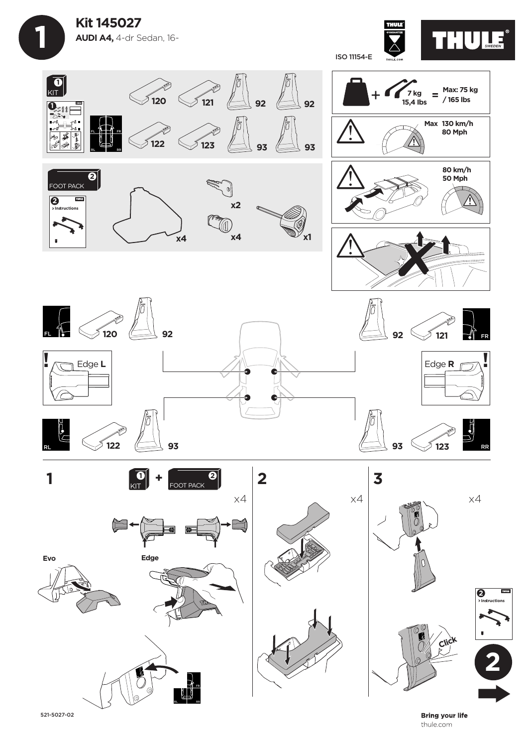**Kit 145027 AUDI A4,** 4-dr Sedan, 16-

 **1**

ISO 11154-E





521-5027-02

RL RR

**Bring your life** thule.com

**THURS**